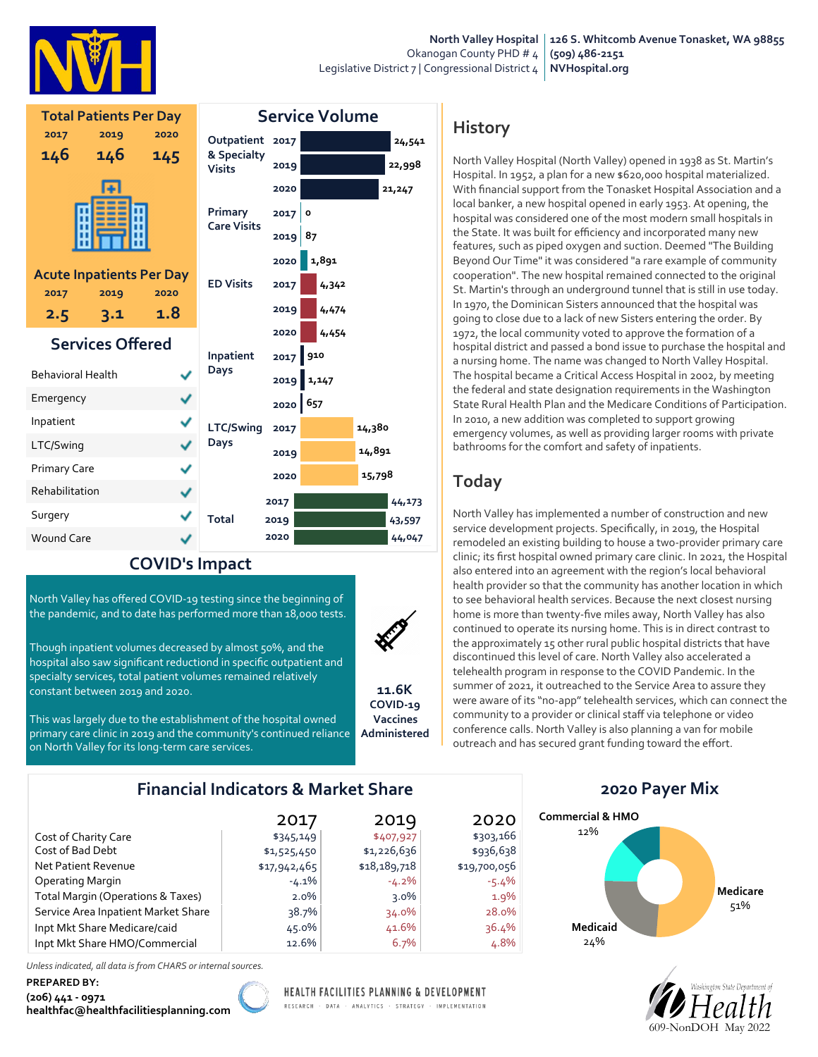

|                          | <b>Total Patients Per Day</b>           |           | <b>Service Volume</b>                |           |            |        |                  |
|--------------------------|-----------------------------------------|-----------|--------------------------------------|-----------|------------|--------|------------------|
| 2017                     | 2019                                    | 2020      | Outpatient 2017                      |           |            |        | 24,541           |
| 146                      | 146                                     | 145       | & Specialty<br><b>Visits</b>         | 2019      |            | 22,998 |                  |
|                          |                                         |           |                                      | 2020      |            |        | 21, 247          |
|                          |                                         |           | <b>Primary</b><br><b>Care Visits</b> | 2017      | $\circ$    |        |                  |
|                          |                                         |           |                                      | $2019$ 87 |            |        |                  |
|                          |                                         |           |                                      | 2020      | 1,891      |        |                  |
| 2017                     | <b>Acute Inpatients Per Day</b><br>2019 | 2020      | <b>ED Visits</b>                     | 2017      | 4,342      |        |                  |
| 2.5                      | 3.1                                     | 1.8       |                                      | 2019      | 4,474      |        |                  |
| <b>Services Offered</b>  |                                         |           |                                      | 2020      | 4,454      |        |                  |
|                          |                                         |           | Inpatient                            |           | 2017 910   |        |                  |
| <b>Behavioral Health</b> |                                         |           | Days                                 |           | 2019 1,147 |        |                  |
| Emergency                |                                         |           |                                      | 2020 657  |            |        |                  |
| Inpatient<br>✓           |                                         | LTC/Swing | 2017                                 |           | 14,380     |        |                  |
| LTC/Swing                |                                         | ✓         | Days                                 | 2019      | 14,891     |        |                  |
| <b>Primary Care</b><br>✓ |                                         |           |                                      | 2020      |            | 15,798 |                  |
| Rehabilitation           |                                         | ✓         |                                      | 2017      |            |        |                  |
| Surgery                  |                                         |           | <b>Total</b>                         | 2019      |            |        | 44,173<br>43,597 |
| <b>Wound Care</b>        |                                         |           |                                      | 2020      |            |        | 44,047           |

#### COVID's Impact

North Valley has offered COVID-19 testing since the beginning of the pandemic, and to date has performed more than 18,000 tests.

Though inpatient volumes decreased by almost 50%, and the hospital also saw significant reductiond in specific outpatient and specialty services, total patient volumes remained relatively constant between 2019 and 2020.



11.6K COVID-19 Vaccines Administered

This was largely due to the establishment of the hospital owned primary care clinic in 2019 and the community's continued reliance on North Valley for its long-term care services.

### Financial Indicators & Market Share

|                                     | 2017         | 2019         | 2020         |
|-------------------------------------|--------------|--------------|--------------|
| Cost of Charity Care                | \$345,149    | \$407,927    | \$303,166    |
| Cost of Bad Debt                    | \$1,525,450  | \$1,226,636  | \$936,638    |
| Net Patient Revenue                 | \$17,942,465 | \$18,189,718 | \$19,700,056 |
| <b>Operating Margin</b>             | $-4.1\%$     | $-4.2\%$     | $-5.4\%$     |
| Total Margin (Operations & Taxes)   | $2.0\%$      | $3.0\%$      | $1.9\%$      |
| Service Area Inpatient Market Share | 38.7%        | $34.0\%$     | 28.0%        |
| Inpt Mkt Share Medicare/caid        | 45.0%        | 41.6%        | 36.4%        |
| Inpt Mkt Share HMO/Commercial       | 12.6%        | 6.7%         | 4.8%         |

Unless indicated, all data is from CHARS or internal sources.

#### PREPARED BY:

(206) 441 - 0971 healthfac@healthfacilitiesplanning.com



HEALTH FACILITIES PLANNING & DEVELOPMENT

RESEARCH · DATA · ANALYTICS · STRATEGY · IMPLEMENTATION

# **History**

North Valley Hospital (North Valley) opened in 1938 as St. Martin's Hospital. In 1952, a plan for a new \$620,000 hospital materialized. With financial support from the Tonasket Hospital Association and a local banker, a new hospital opened in early 1953. At opening, the hospital was considered one of the most modern small hospitals in the State. It was built for efficiency and incorporated many new features, such as piped oxygen and suction. Deemed "The Building Beyond Our Time" it was considered "a rare example of community cooperation". The new hospital remained connected to the original St. Martin's through an underground tunnel that is still in use today. In 1970, the Dominican Sisters announced that the hospital was going to close due to a lack of new Sisters entering the order. By 1972, the local community voted to approve the formation of a hospital district and passed a bond issue to purchase the hospital and a nursing home. The name was changed to North Valley Hospital. The hospital became a Critical Access Hospital in 2002, by meeting the federal and state designation requirements in the Washington State Rural Health Plan and the Medicare Conditions of Participation. In 2010, a new addition was completed to support growing emergency volumes, as well as providing larger rooms with private bathrooms for the comfort and safety of inpatients.

# Today

North Valley has implemented a number of construction and new service development projects. Specifically, in 2019, the Hospital remodeled an existing building to house a two-provider primary care clinic; its first hospital owned primary care clinic. In 2021, the Hospital also entered into an agreement with the region's local behavioral health provider so that the community has another location in which to see behavioral health services. Because the next closest nursing home is more than twenty-five miles away, North Valley has also continued to operate its nursing home. This is in direct contrast to the approximately 15 other rural public hospital districts that have discontinued this level of care. North Valley also accelerated a telehealth program in response to the COVID Pandemic. In the summer of 2021, it outreached to the Service Area to assure they were aware of its "no-app" telehealth services, which can connect the community to a provider or clinical staff via telephone or video conference calls. North Valley is also planning a van for mobile outreach and has secured grant funding toward the effort.